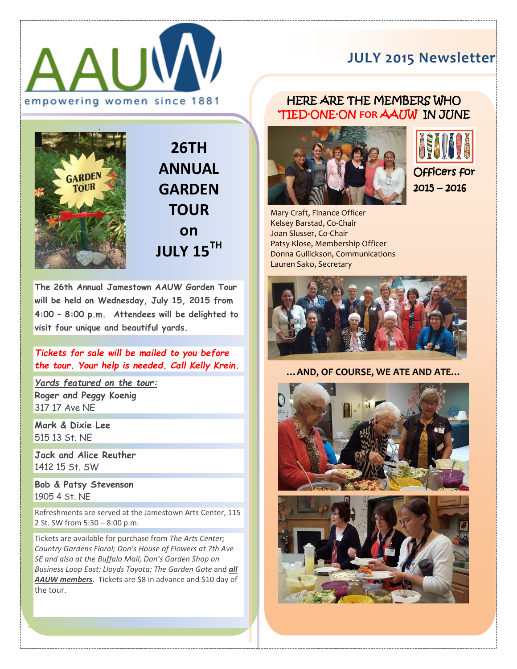

## **JULY 2015 Newsletter**

## HERE ARE THE MEMBERS WHO 'TIED-ONE-ON **FOR** AAUW IN JUNE



**26TH ANNUAL GARDEN TOUR on JULY 15TH**

**The 26th Annual Jamestown AAUW Garden Tour will be held on Wednesday, July 15, 2015 from 4:00 – 8:00 p.m. Attendees will be delighted to visit four unique and beautiful yards.**

*Tickets for sale will be mailed to you before the tour. Your help is needed. Call Kelly Krein.* 

*Yards featured on the tour:* **Roger and Peggy Koenig** 317 17 Ave NE

**Mark & Dixie Lee** 515 13 St. NE

**Jack and Alice Reuther** 1412 15 St. SW

**Bob & Patsy Stevenson** 1905 4 St. NE

Refreshments are served at the Jamestown Arts Center, 115 2 St. SW from 5:30 – 8:00 p.m.

Tickets are available for purchase from *The Arts Center; Country Gardens Floral; Don's House of Flowers at 7th Ave SE and also at the Buffalo Mall; Don's Garden Shop on Business Loop East; Lloyds Toyota; The Garden Gate* and *all AAUW members*. Tickets are \$8 in advance and \$10 day of the tour.





Mary Craft, Finance Officer Kelsey Barstad, Co-Chair Joan Slusser, Co-Chair Patsy Klose, Membership Officer Donna Gullickson, Communications Lauren Sako, Secretary



**…AND, OF COURSE, WE ATE AND ATE…**